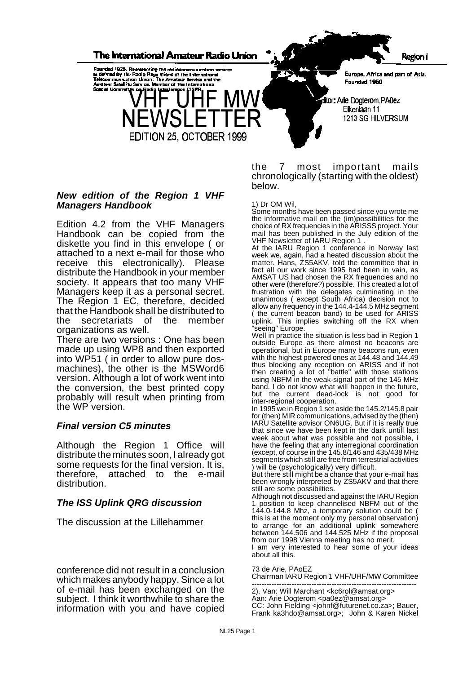

## *New edition of the Region 1 VHF Managers Handbook*

Edition 4.2 from the VHF Managers Handbook can be copied from the diskette you find in this envelope ( or attached to a next e-mail for those who receive this electronically). Please distribute the Handbook in your member society. It appears that too many VHF Managers keep it as a personal secret. The Region 1 EC, therefore, decided that the Handbook shall be distributed to<br>the secretariats of the member secretariats of the member organizations as well.

There are two versions : One has been made up using WP8 and then exported into WP51 ( in order to allow pure dosmachines), the other is the MSWord6 version. Although a lot of work went into the conversion, the best printed copy probably will result when printing from the WP version.

## *Final version C5 minutes*

Although the Region 1 Office will distribute the minutes soon, I already got some requests for the final version. It is, therefore, attached to the e-mail distribution.

## *The ISS Uplink QRG discussion*

The discussion at the Lillehammer

conference did not result in a conclusion which makes anybody happy. Since a lot of e-mail has been exchanged on the subject. I think it worthwhile to share the information with you and have copied the 7 most important mails chronologically (starting with the oldest) below.

### 1) Dr OM Wil,

Some months have been passed since you wrote me the informative mail on the (im)possibilities for the choice of RX frequencies in the ARISSS project. Your mail has been published in the July edition of the VHF Newsletter of IARU Region 1 .

At the IARU Region 1 conference in Norway last week we, again, had a heated discussion about the matter. Hans, ZS5AKV, told the committee that in fact all our work since 1995 had been in vain, as AMSAT US had chosen the RX frequencies and no other were (therefore?) possible. This created a lot of frustration with the delegates culminating in the unanimous ( except South Africa) decision not to allow any frequency in the 144.4-144.5 MHz segment ( the current beacon band) to be used for ARISS uplink. This implies switching off the RX when "seeing" Europe.

Well in practice the situation is less bad in Region 1 outside Europe as there almost no beacons are operational, but in Europe many beacons run, even with the highest powered ones at 144.48 and 144.49 thus blocking any reception on ARISS and if not then creating a lot of "battle" with those stations using NBFM in the weak-signal part of the 145 MHz band. I do not know what will happen in the future, but the current dead-lock is not good for inter-regional cooperation.

In 1995 we in Region 1 set aside the 145.2/145.8 pair for (then) MIR communications, advised by the (then) IARU Satellite advisor ON6UG. But if it is really true that since we have been kept in the dark untill last week about what was possible and not possible, I have the feeling that any interregional coordination (except, of course in the 145.8/146 and 435/438 MHz segments which still are free from terrestrial activities will be (psychologically) very difficult.

But there still might be a chance that your e-mail has been wrongly interpreted by ZS5AKV and that there still are some possibilties.

Although not discussed and against the IARU Region 1 position to keep channelised NBFM out of the 144.0-144.8 Mhz, a temporary solution could be ( this is at the moment only my personal observation) to arrange for an additional uplink somewhere between 144.506 and 144.525 MHz if the proposal from our 1998 Vienna meeting has no merit.

I am very interested to hear some of your ideas about all this.

73 de Arie, PAoEZ

Chairman IARU Region 1 VHF/UHF/MW Committee

------------------------------------------------------------------ 2). Van: Will Marchant <kc6rol@amsat.org> Aan: Arie Dogterom <pa0ez@amsat.org> CC: John Fielding <johnf@futurenet.co.za>; Bauer, Frank ka3hdo@amsat.org>; John & Karen Nickel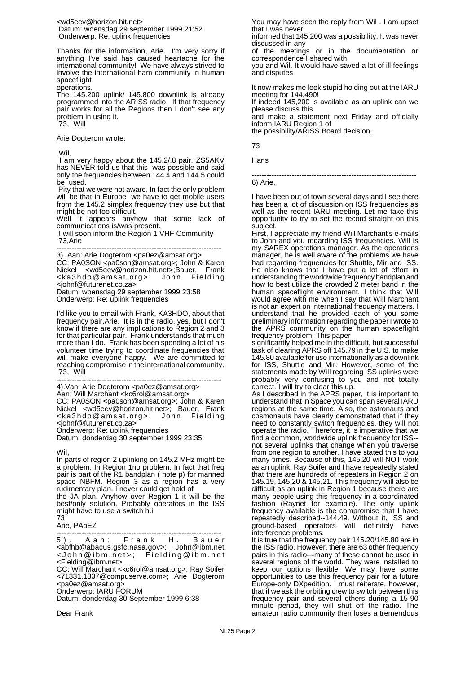<wd5eev@horizon.hit.net> Datum: woensdag 29 september 1999 21:52 Onderwerp: Re: uplink frequencies

Thanks for the information, Arie. I'm very sorry if anything I've said has caused heartache for the international community! We have always strived to involve the international ham community in human spaceflight

operations.

The 145.200 uplink/ 145.800 downlink is already programmed into the ARISS radio. If that frequency pair works for all the Regions then I don't see any problem in using it. 73, Will

Arie Dogterom wrote:

Wil,

I am very happy about the 145.2/.8 pair. ZS5AKV has NEVER told us that this was possible and said only the frequencies between 144.4 and 144.5 could be used.

Pity that we were not aware. In fact the only problem will be that in Europe we have to get mobile users from the 145.2 simplex frequency they use but that might be not too difficult.

Well it appears anyhow that some lack of communications is/was present.

 I will soon inform the Region 1 VHF Community 73,Arie

------------------------------------------------------------------ 3). Aan: Arie Dogterom <pa0ez@amsat.org> CC: PA0SON <pa0son@amsat.org>; John & Karen<br>Nickel = <wd5eev@horizon.hit.net>:Bauer. Frank Nickel <wd5eev@horizon.hit.net>;Bauer, Frank <ka3hdo@amsat.org>; John <johnf@futurenet.co.za>

Datum: woensdag 29 september 1999 23:58 Onderwerp: Re: uplink frequencies

I'd like you to email with Frank, KA3HDO, about that frequency pair,Arie. It is in the radio, yes, but I don't know if there are any implications to Region 2 and 3 for that particular pair. Frank understands that much more than I do. Frank has been spending a lot of his volunteer time trying to coordinate frequencies that will make everyone happy. We are committed to reaching compromise in the international community. 73, Will

------------------------------------------------------------------ 4).Van: Arie Dogterom <pa0ez@amsat.org> Aan: Will Marchant <kc6rol@amsat.org> CC: PA0SON <pa0son@amsat.org>; John & Karen Nickel <wd5eev@horizon.hit.net>; Bauer, Frank <ka3hdo@amsat.org>; John Fieldin g <johnf@futurenet.co.za>

Onderwerp: Re: uplink frequencies Datum: donderdag 30 september 1999 23:35

Wil,

In parts of region 2 uplinking on 145.2 MHz might be a problem. In Region 1no problem. In fact that freq pair is part of the R1 bandplan ( note p) for manned space NBFM. Region 3 as a region has a very rudimentary plan. I never could get hold of

the JA plan. Anyhow over Region 1 it will be the best/only solution. Probably operators in the ISS might have to use a switch h.i. 73

------------------------------------------------------------------ 5). Aan: Frank H. Baue r <abfhb@abacus.gsfc.nasa.gov>; John@ibm.net <John@ibm.net>; Fielding@ibm.ne t <Fielding@ibm.net>

CC: Will Marchant <kc6rol@amsat.org>; Ray Soifer <71331.1337@compuserve.com>; Arie Dogterom <pa0ez@amsat.org> Onderwerp: IARU FORUM

Datum: donderdag 30 September 1999 6:38

Dear Frank

You may have seen the reply from Wil . I am upset that I was never

informed that 145.200 was a possibility. It was never discussed in any

of the meetings or in the documentation or correspondence I shared with

you and Wil. It would have saved a lot of ill feelings and disputes

It now makes me look stupid holding out at the IARU meeting for 144,490!

If indeed 145,200 is available as an uplink can we please discuss this

and make a statement next Friday and officially inform IARU Region 1 of

the possibility/ARISS Board decision.

73

Hans

------------------------------------------------------------------

6) Arie,

I have been out of town several days and I see there has been a lot of discussion on ISS frequencies as well as the recent IARU meeting. Let me take this opportunity to try to set the record straight on this subject.

First, I appreciate my friend Will Marchant's e-mails to John and you regarding ISS frequencies. Will is my SAREX operations manager. As the operations manager, he is well aware of the problems we have had regarding frequencies for Shuttle, Mir and ISS. He also knows that I have put a lot of effort in understanding the worldwide frequency bandplan and how to best utilize the crowded 2 meter band in the human spaceflight environment. I think that Will would agree with me when I say that Will Marchant is not an expert on international frequency matters. I understand that he provided each of you some preliminary information regarding the paper I wrote to the APRS community on the human spaceflight frequency problem. This paper

significantly helped me in the difficult, but successful task of clearing APRS off 145.79 in the U.S. to make 145.80 available for use internationally as a downlink for ISS, Shuttle and Mir. However, some of the statements made by Will regarding ISS uplinks were probably very confusing to you and not totally correct. I will try to clear this up.

As I described in the APRS paper, it is important to understand that in Space you can span several IARU regions at the same time. Also, the astronauts and cosmonauts have clearly demonstrated that if they need to constantly switch frequencies, they will not operate the radio. Therefore, it is imperative that we find a common, worldwide uplink frequency for ISS- not several uplinks that change when you traverse from one region to another. I have stated this to you many times. Because of this, 145.20 will NOT work as an uplink. Ray Soifer and I have repeatedly stated that there are hundreds of repeaters in Region 2 on 145.19, 145.20 & 145.21. This frequency will also be difficult as an uplink in Region 1 because there are many people using this frequency in a coordinated fashion (Raynet for example). The only uplink frequency available is the compromise that I have repeatedly described--144.49. Without it, ISS and ground-based operators will definitely have interference problems.

It is true that the frequency pair 145.20/145.80 are in the ISS radio. However, there are 63 other frequency pairs in this radio---many of these cannot be used in several regions of the world. They were installed to keep our options flexible. We may have some opportunities to use this frequency pair for a future Europe-only DXpedition. I must reiterate, however, that if we ask the orbiting crew to switch between this frequency pair and several others during a 15-90 minute period, they will shut off the radio. The amateur radio community then loses a tremendous

Arie, PAoEZ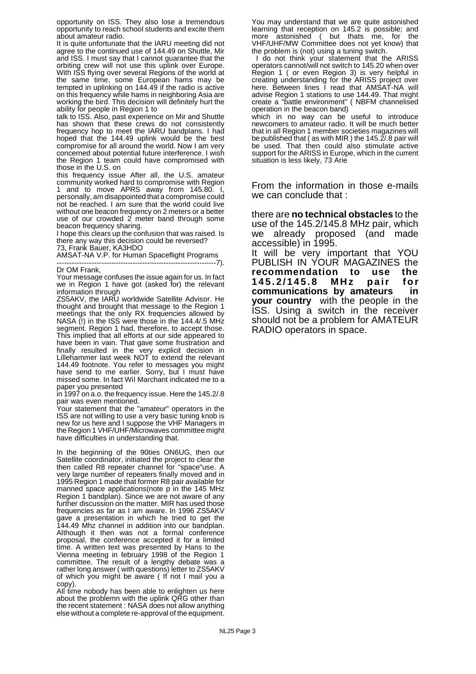opportunity on ISS. They also lose a tremendous opportunity to reach school students and excite them about amateur radio.

It is quite unfortunate that the IARU meeting did not agree to the continued use of 144.49 on Shuttle, Mir and ISS. I must say that I cannot guarantee that the orbiting crew will not use this uplink over Europe. With ISS flying over several Regions of the world at the same time, some European hams may be tempted in uplinking on 144.49 if the radio is active on this frequency while hams in neighboring Asia are working the bird. This decision will definitely hurt the ability for people in Region 1 to

talk to ISS. Also, past experience on Mir and Shuttle has shown that these crews do not consistently frequency hop to meet the IARU bandplans. I had hoped that the 144.49 uplink would be the best compromise for all around the world. Now I am very concerned about potential future interference. I wish the Region 1 team could have compromised with those in the U.S. on

this frequency issue After all, the U.S. amateur community worked hard to compromise with Region 1 and to move APRS away from 145.80. I, personally, am disappointed that a compromise could not be reached. I am sure that the world could live without one beacon frequency on 2 meters or a better use of our crowded 2 meter band through some beacon frequency sharing.

I hope this clears up the confusion that was raised. Is there any way this decision could be reversed? 73, Frank Bauer, KA3HDO

AMSAT-NA V.P. for Human Spaceflight Programs ------------------------------------------------------------------7).

Dr OM Frank

Your message confuses the issue again for us. In fact we in Region 1 have got (asked for) the relevant information through

ZS5AKV, the IARU worldwide Satellite Advisor. He thought and brought that message to the Region 1 meetings that the only RX frequencies allowed by NASA (!) in the ISS were those in the 144.4/.5 MHz segment. Region 1 had, therefore, to accept those. This implied that all efforts at our side appeared to have been in vain. That gave some frustration and finally resulted in the very explicit decision in Lillehammer last week NOT to extend the relevant 144.49 footnote. You refer to messages you might have send to me earlier. Sorry, but I must have missed some. In fact Wil Marchant indicated me to a paper you presented

in 1997 on a.o. the frequency issue. Here the 145.2/.8 pair was even mentioned.

Your statement that the "amateur" operators in the ISS are not willing to use a very basic tuning knob is new for us here and I suppose the VHF Managers in the Region 1 VHF/UHF/Microwaves committee might have difficulties in understanding that.

In the beginning of the 90ties ON6UG, then our Satellite coordinator, initiated the project to clear the then called R8 repeater channel for "space"use. A very large number of repeaters finally moved and in 1995 Region 1 made that former R8 pair available for manned space applications(note p in the 145 MHz Region 1 bandplan). Since we are not aware of any further discussion on the matter. MIR has used those frequencies as far as I am aware. In 1996 ZS5AKV gave a presentation in which he tried to get the 144.49 Mhz channel in addition in 144.49 Mhz channel in addition into our bandplan. Although it then was not a formal conference proposal, the conference accepted it for a limited time. A written text was presented by Hans to the Vienna meeting in february 1998 of the Region 1 committee. The result of a lengthy debate was a rather long answer ( with questions) letter to ZS5AKV of which you might be aware ( If not I mail you a copy).

All time nobody has been able to enlighten us here about the problemn with the uplink QRG other than the recent statement : NASA does not allow anything else without a complete re-approval of the equipment. You may understand that we are quite astonished learning that reception on 145.2 is possible; and more astonished ( but thats me, for the VHF/UHF/MW Committee does not yet know) that the problem is (not) using a tuning switch.

I do not think your statement that the ARISS operators cannot/will not switch to 145.20 when over Region 1 ( or even Region 3) is very helpful in creating understanding for the ARISS project over here. Between lines I read that AMSAT-NA will advise Region 1 stations to use 144.49. That might create a "battle environment" ( NBFM channelised operation in the beacon band)

which in no way can be useful to introduce newcomers to amateur radio. It will be much better that in all Region 1 member societies magazines will be published that ( as with MIR ) the 145.2/.8 pair will be used. That then could also stimulate active support for the ARISS in Europe, which in the current situation is less likely, 73 Arie

From the information in those e-mails we can conclude that :

there are **no technical obstacles** to the use of the 145.2/145.8 MHz pair, which we already proposed (and made accessible) in 1995.

It will be very important that YOU PUBLISH IN YOUR MAGAZINES the **recommendation to use the 145.2/145.8 MHz pair for communications by amateurs in your country** with the people in the ISS. Using a switch in the receiver should not be a problem for AMATEUR RADIO operators in space.